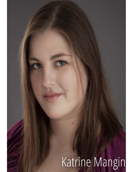# Katrine Mangin